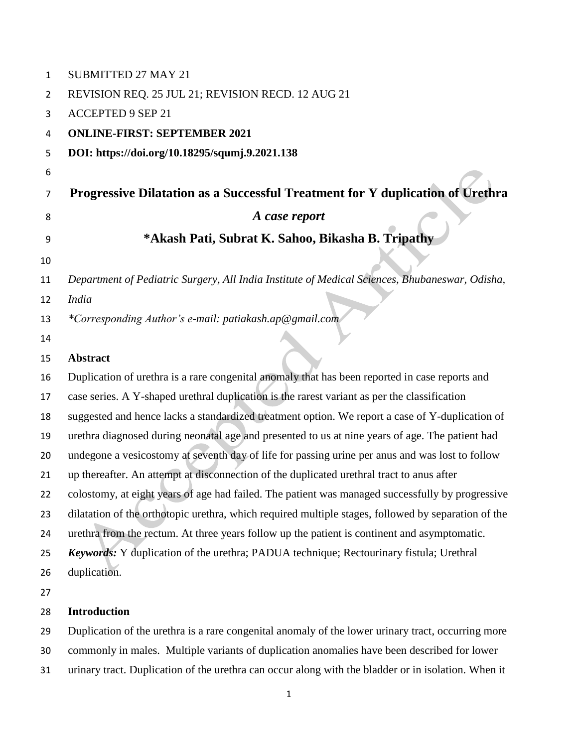| $\mathbf{1}$ | SUBMITTED 27 MAY 21                                                                                 |
|--------------|-----------------------------------------------------------------------------------------------------|
| 2            | REVISION REQ. 25 JUL 21; REVISION RECD. 12 AUG 21                                                   |
| 3            | <b>ACCEPTED 9 SEP 21</b>                                                                            |
| 4            | <b>ONLINE-FIRST: SEPTEMBER 2021</b>                                                                 |
| 5            | DOI: https://doi.org/10.18295/squmj.9.2021.138                                                      |
| 6            |                                                                                                     |
| 7            | Progressive Dilatation as a Successful Treatment for Y duplication of Urethra                       |
| 8            | A case report                                                                                       |
| 9            | *Akash Pati, Subrat K. Sahoo, Bikasha B. Tripathy                                                   |
| 10           |                                                                                                     |
| 11           | Department of Pediatric Surgery, All India Institute of Medical Sciences, Bhubaneswar, Odisha,      |
| 12           | <b>India</b>                                                                                        |
| 13           | *Corresponding Author's e-mail: patiakash.ap@gmail.com                                              |
| 14           |                                                                                                     |
| 15           | <b>Abstract</b>                                                                                     |
| 16           | Duplication of urethra is a rare congenital anomaly that has been reported in case reports and      |
| 17           | case series. A Y-shaped urethral duplication is the rarest variant as per the classification        |
| 18           | suggested and hence lacks a standardized treatment option. We report a case of Y-duplication of     |
| 19           | urethra diagnosed during neonatal age and presented to us at nine years of age. The patient had     |
| 20           | undegone a vesicostomy at seventh day of life for passing urine per anus and was lost to follow     |
| 21           | up thereafter. An attempt at disconnection of the duplicated urethral tract to anus after           |
| 22           | colostomy, at eight years of age had failed. The patient was managed successfully by progressive    |
| 23           | dilatation of the orthotopic urethra, which required multiple stages, followed by separation of the |
| 24           | urethra from the rectum. At three years follow up the patient is continent and asymptomatic.        |
| 25           | <b>Keywords:</b> Y duplication of the urethra; PADUA technique; Rectourinary fistula; Urethral      |
| 26           | duplication.                                                                                        |
| 27           |                                                                                                     |
| 28           | <b>Introduction</b>                                                                                 |
| 29           | Duplication of the urethra is a rare congenital anomaly of the lower urinary tract, occurring more  |

commonly in males. Multiple variants of duplication anomalies have been described for lower

urinary tract. Duplication of the urethra can occur along with the bladder or in isolation. When it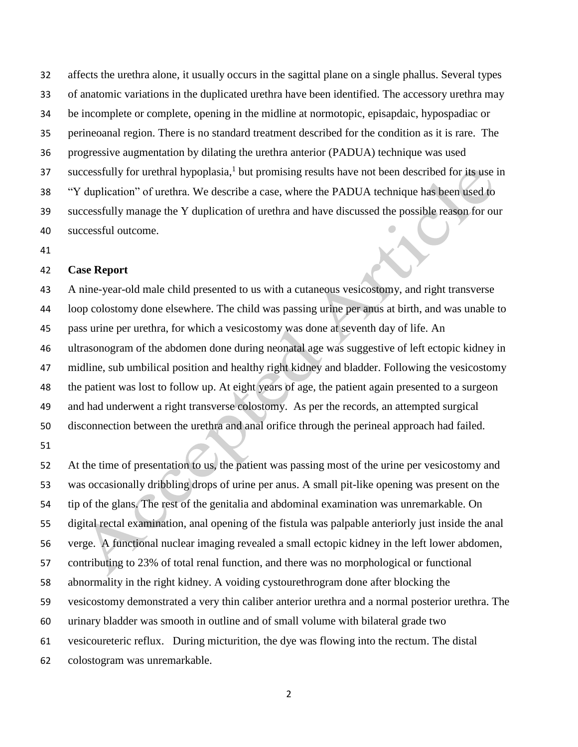affects the urethra alone, it usually occurs in the sagittal plane on a single phallus. Several types of anatomic variations in the duplicated urethra have been identified. The accessory urethra may be incomplete or complete, opening in the midline at normotopic, episapdaic, hypospadiac or perineoanal region. There is no standard treatment described for the condition as it is rare. The progressive augmentation by dilating the urethra anterior (PADUA) technique was used 37 successfully for urethral hypoplasia,<sup>1</sup> but promising results have not been described for its use in "Y duplication" of urethra. We describe a case, where the PADUA technique has been used to successfully manage the Y duplication of urethra and have discussed the possible reason for our successful outcome.

# **Case Report**

 A nine-year-old male child presented to us with a cutaneous vesicostomy, and right transverse loop colostomy done elsewhere. The child was passing urine per anus at birth, and was unable to pass urine per urethra, for which a vesicostomy was done at seventh day of life. An ultrasonogram of the abdomen done during neonatal age was suggestive of left ectopic kidney in midline, sub umbilical position and healthy right kidney and bladder. Following the vesicostomy the patient was lost to follow up. At eight years of age, the patient again presented to a surgeon and had underwent a right transverse colostomy. As per the records, an attempted surgical disconnection between the urethra and anal orifice through the perineal approach had failed.

 At the time of presentation to us, the patient was passing most of the urine per vesicostomy and was occasionally dribbling drops of urine per anus. A small pit-like opening was present on the tip of the glans. The rest of the genitalia and abdominal examination was unremarkable. On digital rectal examination, anal opening of the fistula was palpable anteriorly just inside the anal verge. A functional nuclear imaging revealed a small ectopic kidney in the left lower abdomen, contributing to 23% of total renal function, and there was no morphological or functional abnormality in the right kidney. A voiding cystourethrogram done after blocking the vesicostomy demonstrated a very thin caliber anterior urethra and a normal posterior urethra. The urinary bladder was smooth in outline and of small volume with bilateral grade two vesicoureteric reflux. During micturition, the dye was flowing into the rectum. The distal colostogram was unremarkable.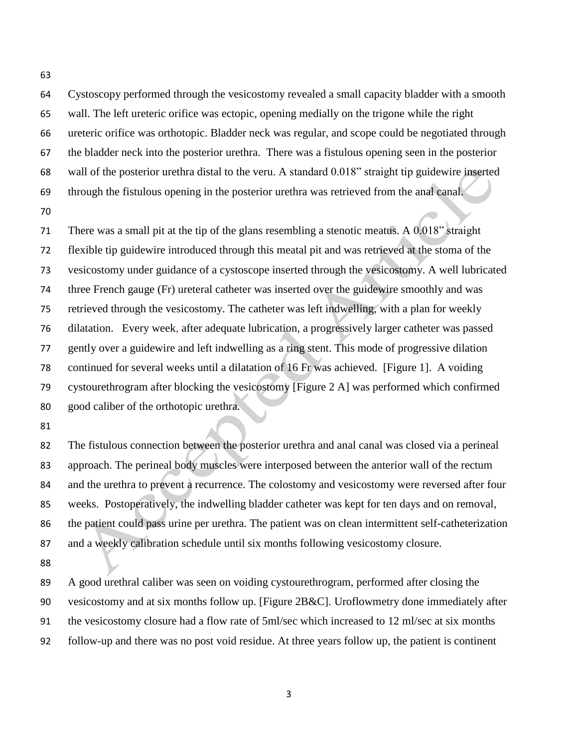Cystoscopy performed through the vesicostomy revealed a small capacity bladder with a smooth wall. The left ureteric orifice was ectopic, opening medially on the trigone while the right ureteric orifice was orthotopic. Bladder neck was regular, and scope could be negotiated through the bladder neck into the posterior urethra. There was a fistulous opening seen in the posterior wall of the posterior urethra distal to the veru. A standard 0.018" straight tip guidewire inserted through the fistulous opening in the posterior urethra was retrieved from the anal canal.

 There was a small pit at the tip of the glans resembling a stenotic meatus. A 0.018" straight flexible tip guidewire introduced through this meatal pit and was retrieved at the stoma of the vesicostomy under guidance of a cystoscope inserted through the vesicostomy. A well lubricated three French gauge (Fr) ureteral catheter was inserted over the guidewire smoothly and was retrieved through the vesicostomy. The catheter was left indwelling, with a plan for weekly dilatation. Every week, after adequate lubrication, a progressively larger catheter was passed gently over a guidewire and left indwelling as a ring stent. This mode of progressive dilation continued for several weeks until a dilatation of 16 Fr was achieved. [Figure 1]. A voiding cystourethrogram after blocking the vesicostomy [Figure 2 A] was performed which confirmed good caliber of the orthotopic urethra.

 The fistulous connection between the posterior urethra and anal canal was closed via a perineal approach. The perineal body muscles were interposed between the anterior wall of the rectum and the urethra to prevent a recurrence. The colostomy and vesicostomy were reversed after four weeks. Postoperatively, the indwelling bladder catheter was kept for ten days and on removal, the patient could pass urine per urethra. The patient was on clean intermittent self-catheterization and a weekly calibration schedule until six months following vesicostomy closure.

 A good urethral caliber was seen on voiding cystourethrogram, performed after closing the vesicostomy and at six months follow up. [Figure 2B&C]. Uroflowmetry done immediately after the vesicostomy closure had a flow rate of 5ml/sec which increased to 12 ml/sec at six months follow-up and there was no post void residue. At three years follow up, the patient is continent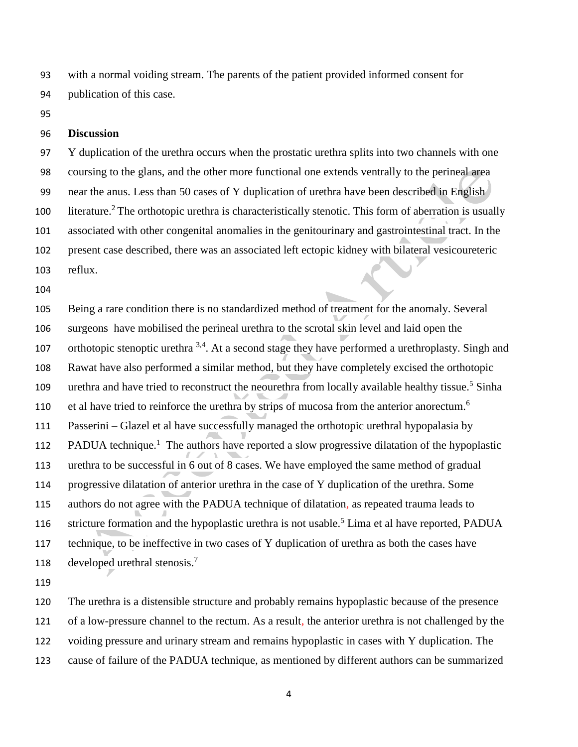with a normal voiding stream. The parents of the patient provided informed consent for publication of this case.

#### **Discussion**

 Y duplication of the urethra occurs when the prostatic urethra splits into two channels with one coursing to the glans, and the other more functional one extends ventrally to the perineal area near the anus. Less than 50 cases of Y duplication of urethra have been described in English 100 literature.<sup>2</sup> The orthotopic urethra is characteristically stenotic. This form of aberration is usually associated with other congenital anomalies in the genitourinary and gastrointestinal tract. In the present case described, there was an associated left ectopic kidney with bilateral vesicoureteric reflux.

 Being a rare condition there is no standardized method of treatment for the anomaly. Several surgeons have mobilised the perineal urethra to the scrotal skin level and laid open the 107 orthotopic stenoptic urethra  $3,4$ . At a second stage they have performed a urethroplasty. Singh and Rawat have also performed a similar method, but they have completely excised the orthotopic 109 urethra and have tried to reconstruct the neourethra from locally available healthy tissue.<sup>5</sup> Sinha 110 et al have tried to reinforce the urethra by strips of mucosa from the anterior anorectum.<sup>6</sup> Passerini – Glazel et al have successfully managed the orthotopic urethral hypopalasia by 112 PADUA technique.<sup>1</sup> The authors have reported a slow progressive dilatation of the hypoplastic urethra to be successful in 6 out of 8 cases. We have employed the same method of gradual progressive dilatation of anterior urethra in the case of Y duplication of the urethra. Some authors do not agree with the PADUA technique of dilatation, as repeated trauma leads to 116 stricture formation and the hypoplastic urethra is not usable.<sup>5</sup> Lima et al have reported, PADUA technique, to be ineffective in two cases of Y duplication of urethra as both the cases have developed urethral stenosis. 7 

 The urethra is a distensible structure and probably remains hypoplastic because of the presence of a low-pressure channel to the rectum. As a result, the anterior urethra is not challenged by the voiding pressure and urinary stream and remains hypoplastic in cases with Y duplication. The cause of failure of the PADUA technique, as mentioned by different authors can be summarized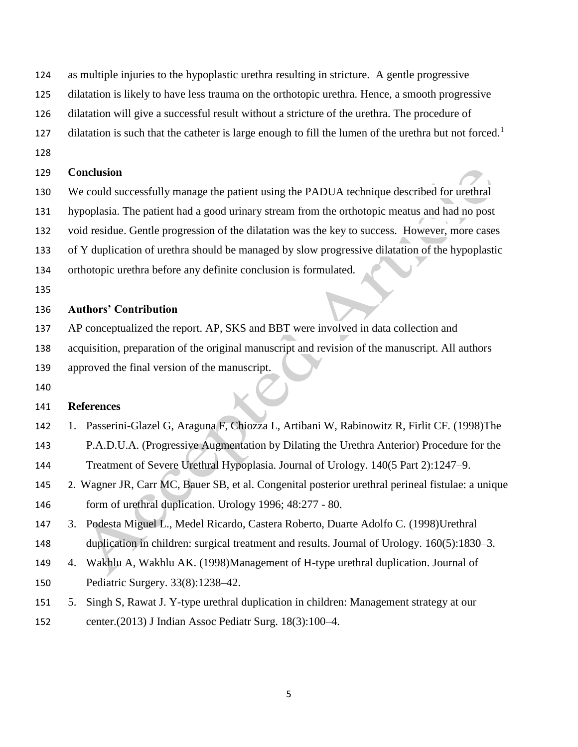- as multiple injuries to the hypoplastic urethra resulting in stricture. A gentle progressive
- dilatation is likely to have less trauma on the orthotopic urethra. Hence, a smooth progressive
- dilatation will give a successful result without a stricture of the urethra. The procedure of
- dilatation is such that the catheter is large enough to fill the lumen of the urethra but not forced.<sup>1</sup>
- 

### **Conclusion**

- We could successfully manage the patient using the PADUA technique described for urethral
- hypoplasia. The patient had a good urinary stream from the orthotopic meatus and had no post
- void residue. Gentle progression of the dilatation was the key to success. However, more cases
- of Y duplication of urethra should be managed by slow progressive dilatation of the hypoplastic
- orthotopic urethra before any definite conclusion is formulated.
- 

# **Authors' Contribution**

- AP conceptualized the report. AP, SKS and BBT were involved in data collection and
- acquisition, preparation of the original manuscript and revision of the manuscript. All authors
- approved the final version of the manuscript.
- 

# **References**

- 1. Passerini-Glazel G, Araguna F, Chiozza L, Artibani W, Rabinowitz R, Firlit CF. (1998)The
- P.A.D.U.A. (Progressive Augmentation by Dilating the Urethra Anterior) Procedure for the
- Treatment of Severe Urethral Hypoplasia. Journal of Urology. 140(5 Part 2):1247–9.
- 2. Wagner JR, Carr MC, Bauer SB, et al. Congenital posterior urethral perineal fistulae: a unique form of urethral duplication. Urology 1996; 48:277 - 80.
- 3. Podesta Miguel L., Medel Ricardo, Castera Roberto, Duarte Adolfo C. (1998)Urethral duplication in children: surgical treatment and results. Journal of Urology. 160(5):1830–3.
- 4. Wakhlu A, Wakhlu AK. (1998)Management of H-type urethral duplication. Journal of Pediatric Surgery. 33(8):1238–42.
- 5. Singh S, Rawat J. Y-type urethral duplication in children: Management strategy at our center.(2013) J Indian Assoc Pediatr Surg. 18(3):100–4.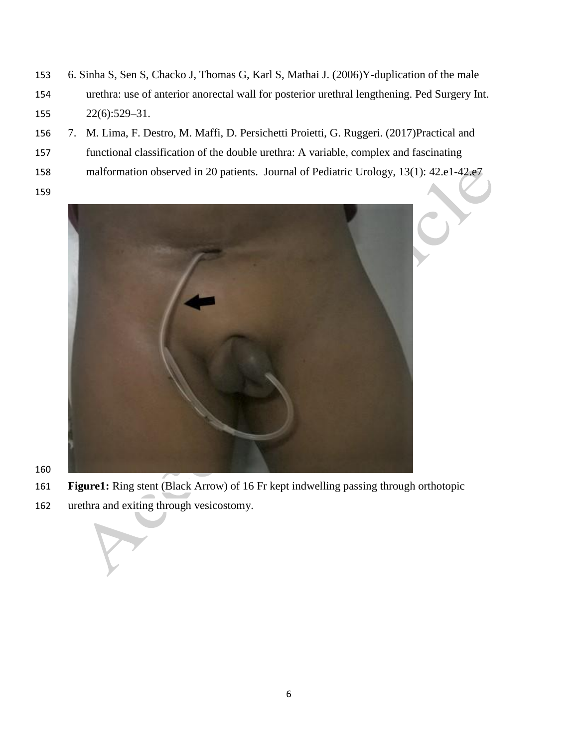- 6. Sinha S, Sen S, Chacko J, Thomas G, Karl S, Mathai J. (2006)Y-duplication of the male urethra: use of anterior anorectal wall for posterior urethral lengthening. Ped Surgery Int. 22(6):529–31.
- 7. M. Lima, F. Destro, M. Maffi, D. Persichetti Proietti, G. Ruggeri. (2017)Practical and
- functional classification of the double urethra: A variable, complex and fascinating
- malformation observed in 20 patients. Journal of Pediatric Urology, 13(1): 42.e1-42.e7
- 



- **Figure1:** Ring stent (Black Arrow) of 16 Fr kept indwelling passing through orthotopic
- urethra and exiting through vesicostomy.